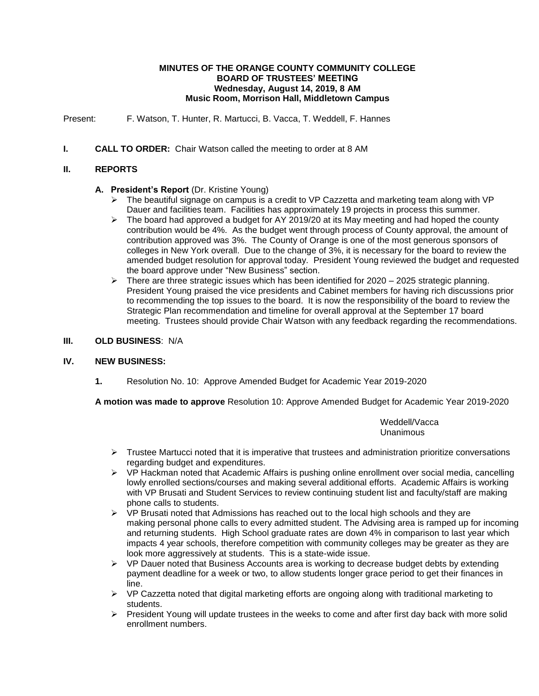### **MINUTES OF THE ORANGE COUNTY COMMUNITY COLLEGE BOARD OF TRUSTEES' MEETING Wednesday, August 14, 2019, 8 AM Music Room, Morrison Hall, Middletown Campus**

Present: F. Watson, T. Hunter, R. Martucci, B. Vacca, T. Weddell, F. Hannes

**I. CALL TO ORDER:** Chair Watson called the meeting to order at 8 AM

# **II. REPORTS**

# **A. President's Report** (Dr. Kristine Young)

- $\triangleright$  The beautiful signage on campus is a credit to VP Cazzetta and marketing team along with VP Dauer and facilities team. Facilities has approximately 19 projects in process this summer.
- $\triangleright$  The board had approved a budget for AY 2019/20 at its May meeting and had hoped the county contribution would be 4%. As the budget went through process of County approval, the amount of contribution approved was 3%. The County of Orange is one of the most generous sponsors of colleges in New York overall. Due to the change of 3%, it is necessary for the board to review the amended budget resolution for approval today. President Young reviewed the budget and requested the board approve under "New Business" section.
- $\triangleright$  There are three strategic issues which has been identified for 2020 2025 strategic planning. President Young praised the vice presidents and Cabinet members for having rich discussions prior to recommending the top issues to the board. It is now the responsibility of the board to review the Strategic Plan recommendation and timeline for overall approval at the September 17 board meeting. Trustees should provide Chair Watson with any feedback regarding the recommendations.

### **III. OLD BUSINESS**: N/A

### **IV. NEW BUSINESS:**

**1.** Resolution No. 10: Approve Amended Budget for Academic Year 2019-2020

**A motion was made to approve** Resolution 10: Approve Amended Budget for Academic Year 2019-2020

Weddell/Vacca Unanimous

- $\triangleright$  Trustee Martucci noted that it is imperative that trustees and administration prioritize conversations regarding budget and expenditures.
- $\triangleright$  VP Hackman noted that Academic Affairs is pushing online enrollment over social media, cancelling lowly enrolled sections/courses and making several additional efforts. Academic Affairs is working with VP Brusati and Student Services to review continuing student list and faculty/staff are making phone calls to students.
- $\triangleright$  VP Brusati noted that Admissions has reached out to the local high schools and they are making personal phone calls to every admitted student. The Advising area is ramped up for incoming and returning students. High School graduate rates are down 4% in comparison to last year which impacts 4 year schools, therefore competition with community colleges may be greater as they are look more aggressively at students. This is a state-wide issue.
- $\triangleright$  VP Dauer noted that Business Accounts area is working to decrease budget debts by extending payment deadline for a week or two, to allow students longer grace period to get their finances in line.
- $\triangleright$  VP Cazzetta noted that digital marketing efforts are ongoing along with traditional marketing to students.
- President Young will update trustees in the weeks to come and after first day back with more solid enrollment numbers.